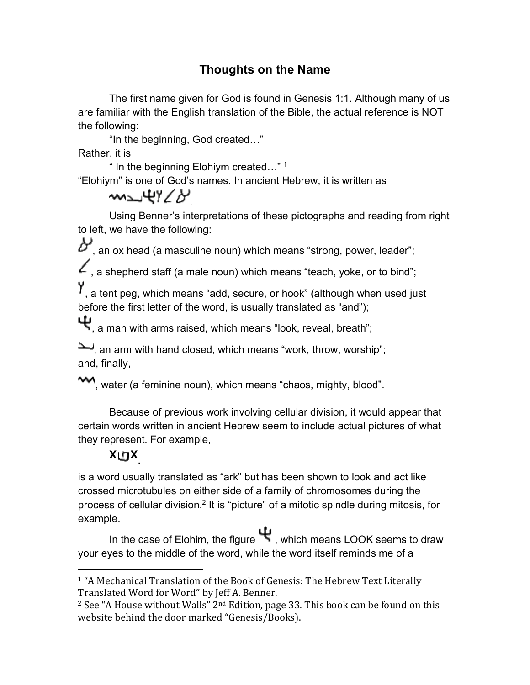## **Thoughts on the Name**

The first name given for God is found in Genesis 1:1. Although many of us are familiar with the English translation of the Bible, the actual reference is NOT the following:

"In the beginning, God created…"

Rather, it is

" In the beginning Elohiym created…" 1

"Elohiym" is one of God's names. In ancient Hebrew, it is written as

## merky Co

Using Benner's interpretations of these pictographs and reading from right to left, we have the following:

 $\mathcal{D}'$ , an ox head (a masculine noun) which means "strong, power, leader";

 $\mathcal L$ , a shepherd staff (a male noun) which means "teach, yoke, or to bind";

Y, a tent peg, which means "add, secure, or hook" (although when used just before the first letter of the word, is usually translated as "and");

 $\Psi$ , a man with arms raised, which means "look, reveal, breath";

an arm with hand closed, which means "work, throw, worship"; and, finally,

water (a feminine noun), which means "chaos, mighty, blood".

Because of previous work involving cellular division, it would appear that certain words written in ancient Hebrew seem to include actual pictures of what they represent. For example,

## **<sup>X</sup> X.**

 

is a word usually translated as "ark" but has been shown to look and act like crossed microtubules on either side of a family of chromosomes during the process of cellular division.2 It is "picture" of a mitotic spindle during mitosis, for example.

In the case of Elohim, the figure  $\mathbf \Psi$ , which means LOOK seems to draw your eyes to the middle of the word, while the word itself reminds me of a

<sup>&</sup>lt;sup>1</sup> "A Mechanical Translation of the Book of Genesis: The Hebrew Text Literally Translated Word for Word" by Jeff A. Benner.

 $2$  See "A House without Walls"  $2<sup>nd</sup>$  Edition, page 33. This book can be found on this website behind the door marked "Genesis/Books).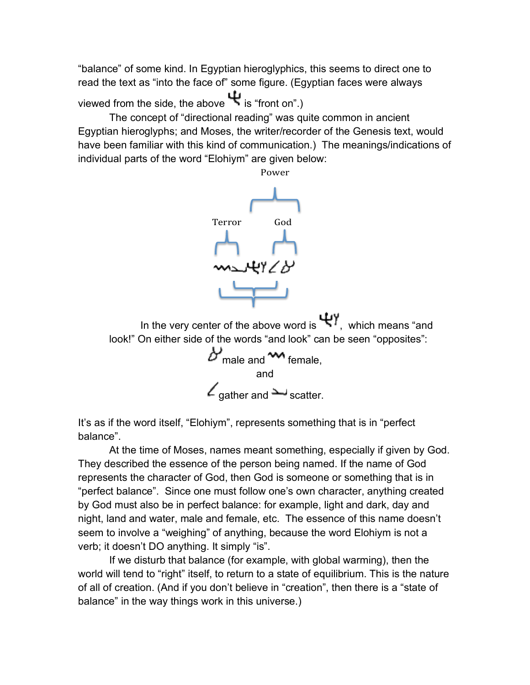"balance" of some kind. In Egyptian hieroglyphics, this seems to direct one to read the text as "into the face of" some figure. (Egyptian faces were always

viewed from the side, the above  $\Psi$  is "front on".)

The concept of "directional reading" was quite common in ancient Egyptian hieroglyphs; and Moses, the writer/recorder of the Genesis text, would have been familiar with this kind of communication.) The meanings/indications of individual parts of the word "Elohiym" are given below:



It's as if the word itself, "Elohiym", represents something that is in "perfect balance".

At the time of Moses, names meant something, especially if given by God. They described the essence of the person being named. If the name of God represents the character of God, then God is someone or something that is in "perfect balance". Since one must follow one's own character, anything created by God must also be in perfect balance: for example, light and dark, day and night, land and water, male and female, etc. The essence of this name doesn't seem to involve a "weighing" of anything, because the word Elohiym is not a verb; it doesn't DO anything. It simply "is".

If we disturb that balance (for example, with global warming), then the world will tend to "right" itself, to return to a state of equilibrium. This is the nature of all of creation. (And if you don't believe in "creation", then there is a "state of balance" in the way things work in this universe.)